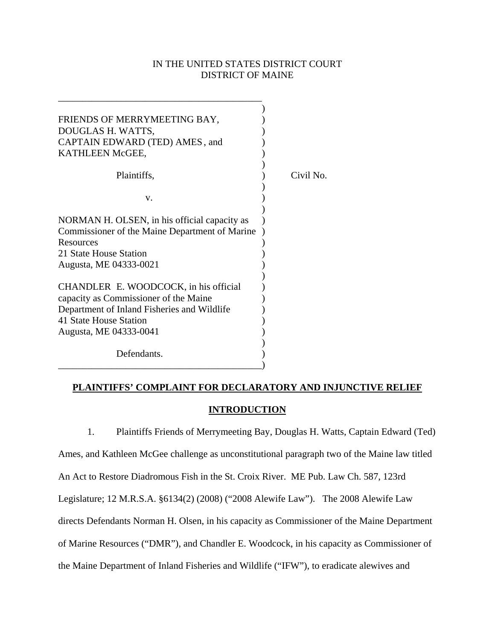## IN THE UNITED STATES DISTRICT COURT DISTRICT OF MAINE

| FRIENDS OF MERRYMEETING BAY,                                                                   |           |
|------------------------------------------------------------------------------------------------|-----------|
| DOUGLAS H. WATTS,                                                                              |           |
| CAPTAIN EDWARD (TED) AMES, and                                                                 |           |
| KATHLEEN McGEE,                                                                                |           |
|                                                                                                |           |
| Plaintiffs,                                                                                    | Civil No. |
| $V_{\cdot}$                                                                                    |           |
|                                                                                                |           |
| NORMAN H. OLSEN, in his official capacity as<br>Commissioner of the Maine Department of Marine |           |
| Resources                                                                                      |           |
| 21 State House Station                                                                         |           |
| Augusta, ME 04333-0021                                                                         |           |
|                                                                                                |           |
| CHANDLER E. WOODCOCK, in his official                                                          |           |
| capacity as Commissioner of the Maine                                                          |           |
| Department of Inland Fisheries and Wildlife                                                    |           |
| 41 State House Station                                                                         |           |
| Augusta, ME 04333-0041                                                                         |           |
| Defendants.                                                                                    |           |

# **PLAINTIFFS' COMPLAINT FOR DECLARATORY AND INJUNCTIVE RELIEF INTRODUCTION**

 1. Plaintiffs Friends of Merrymeeting Bay, Douglas H. Watts, Captain Edward (Ted) Ames, and Kathleen McGee challenge as unconstitutional paragraph two of the Maine law titled An Act to Restore Diadromous Fish in the St. Croix River. ME Pub. Law Ch. 587, 123rd Legislature; 12 M.R.S.A. §6134(2) (2008) ("2008 Alewife Law"). The 2008 Alewife Law directs Defendants Norman H. Olsen, in his capacity as Commissioner of the Maine Department of Marine Resources ("DMR"), and Chandler E. Woodcock, in his capacity as Commissioner of the Maine Department of Inland Fisheries and Wildlife ("IFW"), to eradicate alewives and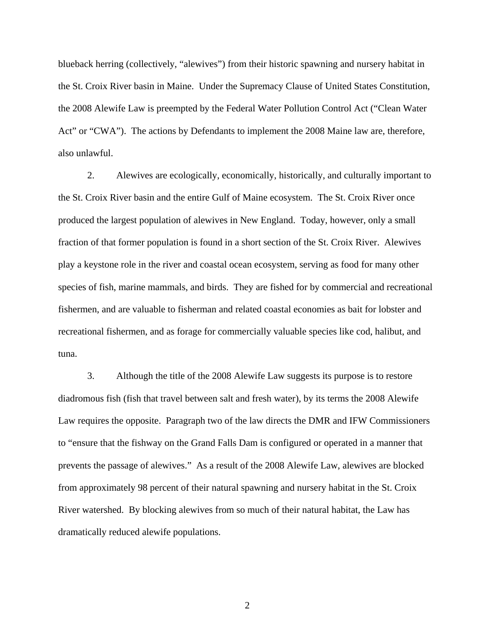blueback herring (collectively, "alewives") from their historic spawning and nursery habitat in the St. Croix River basin in Maine. Under the Supremacy Clause of United States Constitution, the 2008 Alewife Law is preempted by the Federal Water Pollution Control Act ("Clean Water Act" or "CWA"). The actions by Defendants to implement the 2008 Maine law are, therefore, also unlawful.

 2. Alewives are ecologically, economically, historically, and culturally important to the St. Croix River basin and the entire Gulf of Maine ecosystem. The St. Croix River once produced the largest population of alewives in New England. Today, however, only a small fraction of that former population is found in a short section of the St. Croix River. Alewives play a keystone role in the river and coastal ocean ecosystem, serving as food for many other species of fish, marine mammals, and birds. They are fished for by commercial and recreational fishermen, and are valuable to fisherman and related coastal economies as bait for lobster and recreational fishermen, and as forage for commercially valuable species like cod, halibut, and tuna.

 3. Although the title of the 2008 Alewife Law suggests its purpose is to restore diadromous fish (fish that travel between salt and fresh water), by its terms the 2008 Alewife Law requires the opposite. Paragraph two of the law directs the DMR and IFW Commissioners to "ensure that the fishway on the Grand Falls Dam is configured or operated in a manner that prevents the passage of alewives." As a result of the 2008 Alewife Law, alewives are blocked from approximately 98 percent of their natural spawning and nursery habitat in the St. Croix River watershed. By blocking alewives from so much of their natural habitat, the Law has dramatically reduced alewife populations.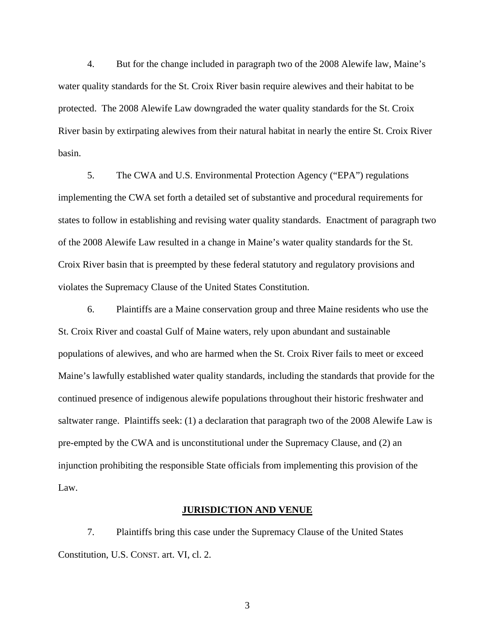4. But for the change included in paragraph two of the 2008 Alewife law, Maine's water quality standards for the St. Croix River basin require alewives and their habitat to be protected. The 2008 Alewife Law downgraded the water quality standards for the St. Croix River basin by extirpating alewives from their natural habitat in nearly the entire St. Croix River basin.

5. The CWA and U.S. Environmental Protection Agency ("EPA") regulations implementing the CWA set forth a detailed set of substantive and procedural requirements for states to follow in establishing and revising water quality standards. Enactment of paragraph two of the 2008 Alewife Law resulted in a change in Maine's water quality standards for the St. Croix River basin that is preempted by these federal statutory and regulatory provisions and violates the Supremacy Clause of the United States Constitution.

6. Plaintiffs are a Maine conservation group and three Maine residents who use the St. Croix River and coastal Gulf of Maine waters, rely upon abundant and sustainable populations of alewives, and who are harmed when the St. Croix River fails to meet or exceed Maine's lawfully established water quality standards, including the standards that provide for the continued presence of indigenous alewife populations throughout their historic freshwater and saltwater range. Plaintiffs seek: (1) a declaration that paragraph two of the 2008 Alewife Law is pre-empted by the CWA and is unconstitutional under the Supremacy Clause, and (2) an injunction prohibiting the responsible State officials from implementing this provision of the Law.

## **JURISDICTION AND VENUE**

7. Plaintiffs bring this case under the Supremacy Clause of the United States Constitution, U.S. CONST. art. VI, cl. 2.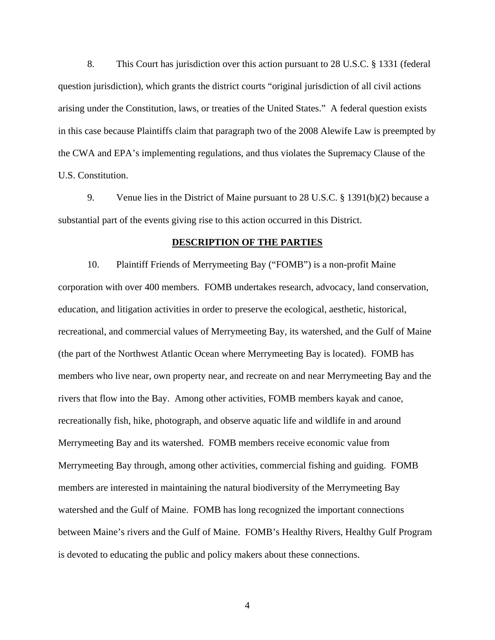8. This Court has jurisdiction over this action pursuant to 28 U.S.C. § 1331 (federal question jurisdiction), which grants the district courts "original jurisdiction of all civil actions arising under the Constitution, laws, or treaties of the United States." A federal question exists in this case because Plaintiffs claim that paragraph two of the 2008 Alewife Law is preempted by the CWA and EPA's implementing regulations, and thus violates the Supremacy Clause of the U.S. Constitution.

9. Venue lies in the District of Maine pursuant to 28 U.S.C. § 1391(b)(2) because a substantial part of the events giving rise to this action occurred in this District.

## **DESCRIPTION OF THE PARTIES**

 10. Plaintiff Friends of Merrymeeting Bay ("FOMB") is a non-profit Maine corporation with over 400 members. FOMB undertakes research, advocacy, land conservation, education, and litigation activities in order to preserve the ecological, aesthetic, historical, recreational, and commercial values of Merrymeeting Bay, its watershed, and the Gulf of Maine (the part of the Northwest Atlantic Ocean where Merrymeeting Bay is located). FOMB has members who live near, own property near, and recreate on and near Merrymeeting Bay and the rivers that flow into the Bay. Among other activities, FOMB members kayak and canoe, recreationally fish, hike, photograph, and observe aquatic life and wildlife in and around Merrymeeting Bay and its watershed. FOMB members receive economic value from Merrymeeting Bay through, among other activities, commercial fishing and guiding. FOMB members are interested in maintaining the natural biodiversity of the Merrymeeting Bay watershed and the Gulf of Maine. FOMB has long recognized the important connections between Maine's rivers and the Gulf of Maine. FOMB's Healthy Rivers, Healthy Gulf Program is devoted to educating the public and policy makers about these connections.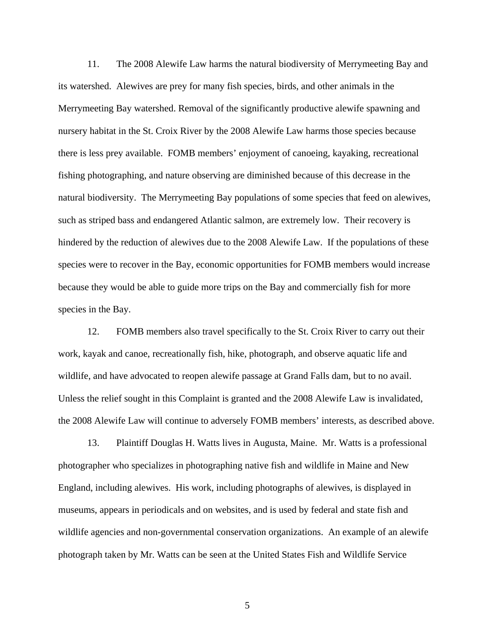11. The 2008 Alewife Law harms the natural biodiversity of Merrymeeting Bay and its watershed. Alewives are prey for many fish species, birds, and other animals in the Merrymeeting Bay watershed. Removal of the significantly productive alewife spawning and nursery habitat in the St. Croix River by the 2008 Alewife Law harms those species because there is less prey available. FOMB members' enjoyment of canoeing, kayaking, recreational fishing photographing, and nature observing are diminished because of this decrease in the natural biodiversity. The Merrymeeting Bay populations of some species that feed on alewives, such as striped bass and endangered Atlantic salmon, are extremely low. Their recovery is hindered by the reduction of alewives due to the 2008 Alewife Law. If the populations of these species were to recover in the Bay, economic opportunities for FOMB members would increase because they would be able to guide more trips on the Bay and commercially fish for more species in the Bay.

12. FOMB members also travel specifically to the St. Croix River to carry out their work, kayak and canoe, recreationally fish, hike, photograph, and observe aquatic life and wildlife, and have advocated to reopen alewife passage at Grand Falls dam, but to no avail. Unless the relief sought in this Complaint is granted and the 2008 Alewife Law is invalidated, the 2008 Alewife Law will continue to adversely FOMB members' interests, as described above.

 13. Plaintiff Douglas H. Watts lives in Augusta, Maine. Mr. Watts is a professional photographer who specializes in photographing native fish and wildlife in Maine and New England, including alewives. His work, including photographs of alewives, is displayed in museums, appears in periodicals and on websites, and is used by federal and state fish and wildlife agencies and non-governmental conservation organizations. An example of an alewife photograph taken by Mr. Watts can be seen at the United States Fish and Wildlife Service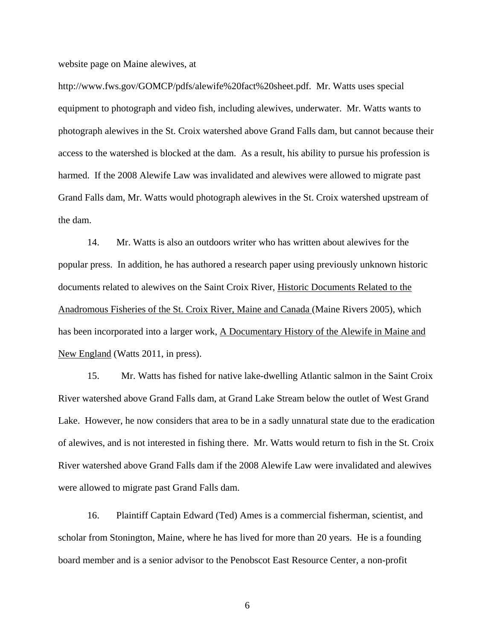website page on Maine alewives, at

http://www.fws.gov/GOMCP/pdfs/alewife%20fact%20sheet.pdf. Mr. Watts uses special equipment to photograph and video fish, including alewives, underwater. Mr. Watts wants to photograph alewives in the St. Croix watershed above Grand Falls dam, but cannot because their access to the watershed is blocked at the dam. As a result, his ability to pursue his profession is harmed. If the 2008 Alewife Law was invalidated and alewives were allowed to migrate past Grand Falls dam, Mr. Watts would photograph alewives in the St. Croix watershed upstream of the dam.

14. Mr. Watts is also an outdoors writer who has written about alewives for the popular press. In addition, he has authored a research paper using previously unknown historic documents related to alewives on the Saint Croix River, Historic Documents Related to the Anadromous Fisheries of the St. Croix River, Maine and Canada (Maine Rivers 2005), which has been incorporated into a larger work, A Documentary History of the Alewife in Maine and New England (Watts 2011, in press).

15. Mr. Watts has fished for native lake-dwelling Atlantic salmon in the Saint Croix River watershed above Grand Falls dam, at Grand Lake Stream below the outlet of West Grand Lake. However, he now considers that area to be in a sadly unnatural state due to the eradication of alewives, and is not interested in fishing there. Mr. Watts would return to fish in the St. Croix River watershed above Grand Falls dam if the 2008 Alewife Law were invalidated and alewives were allowed to migrate past Grand Falls dam.

 16. Plaintiff Captain Edward (Ted) Ames is a commercial fisherman, scientist, and scholar from Stonington, Maine, where he has lived for more than 20 years. He is a founding board member and is a senior advisor to the Penobscot East Resource Center, a non-profit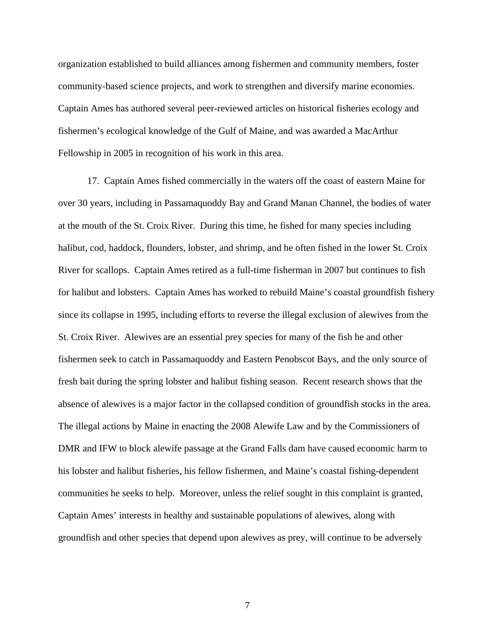organization established to build alliances among fishermen and community members, foster community-based science projects, and work to strengthen and diversify marine economies. Captain Ames has authored several peer-reviewed articles on historical fisheries ecology and fishermen's ecological knowledge of the Gulf of Maine, and was awarded a MacArthur Fellowship in 2005 in recognition of his work in this area.

17. Captain Ames fished commercially in the waters off the coast of eastern Maine for over 30 years, including in Passamaquoddy Bay and Grand Manan Channel, the bodies of water at the mouth of the St. Croix River. During this time, he fished for many species including halibut, cod, haddock, flounders, lobster, and shrimp, and he often fished in the lower St. Croix River for scallops. Captain Ames retired as a full-time fisherman in 2007 but continues to fish for halibut and lobsters. Captain Ames has worked to rebuild Maine's coastal groundfish fishery since its collapse in 1995, including efforts to reverse the illegal exclusion of alewives from the St. Croix River. Alewives are an essential prey species for many of the fish he and other fishermen seek to catch in Passamaquoddy and Eastern Penobscot Bays, and the only source of fresh bait during the spring lobster and halibut fishing season. Recent research shows that the absence of alewives is a major factor in the collapsed condition of groundfish stocks in the area. The illegal actions by Maine in enacting the 2008 Alewife Law and by the Commissioners of DMR and IFW to block alewife passage at the Grand Falls dam have caused economic harm to his lobster and halibut fisheries, his fellow fishermen, and Maine's coastal fishing-dependent communities he seeks to help. Moreover, unless the relief sought in this complaint is granted, Captain Ames' interests in healthy and sustainable populations of alewives, along with groundfish and other species that depend upon alewives as prey, will continue to be adversely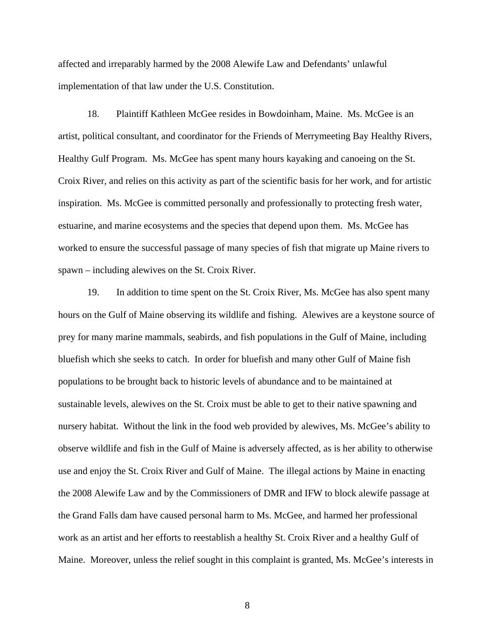affected and irreparably harmed by the 2008 Alewife Law and Defendants' unlawful implementation of that law under the U.S. Constitution.

18. Plaintiff Kathleen McGee resides in Bowdoinham, Maine. Ms. McGee is an artist, political consultant, and coordinator for the Friends of Merrymeeting Bay Healthy Rivers, Healthy Gulf Program. Ms. McGee has spent many hours kayaking and canoeing on the St. Croix River, and relies on this activity as part of the scientific basis for her work, and for artistic inspiration. Ms. McGee is committed personally and professionally to protecting fresh water, estuarine, and marine ecosystems and the species that depend upon them. Ms. McGee has worked to ensure the successful passage of many species of fish that migrate up Maine rivers to spawn – including alewives on the St. Croix River.

19. In addition to time spent on the St. Croix River, Ms. McGee has also spent many hours on the Gulf of Maine observing its wildlife and fishing. Alewives are a keystone source of prey for many marine mammals, seabirds, and fish populations in the Gulf of Maine, including bluefish which she seeks to catch. In order for bluefish and many other Gulf of Maine fish populations to be brought back to historic levels of abundance and to be maintained at sustainable levels, alewives on the St. Croix must be able to get to their native spawning and nursery habitat. Without the link in the food web provided by alewives, Ms. McGee's ability to observe wildlife and fish in the Gulf of Maine is adversely affected, as is her ability to otherwise use and enjoy the St. Croix River and Gulf of Maine. The illegal actions by Maine in enacting the 2008 Alewife Law and by the Commissioners of DMR and IFW to block alewife passage at the Grand Falls dam have caused personal harm to Ms. McGee, and harmed her professional work as an artist and her efforts to reestablish a healthy St. Croix River and a healthy Gulf of Maine. Moreover, unless the relief sought in this complaint is granted, Ms. McGee's interests in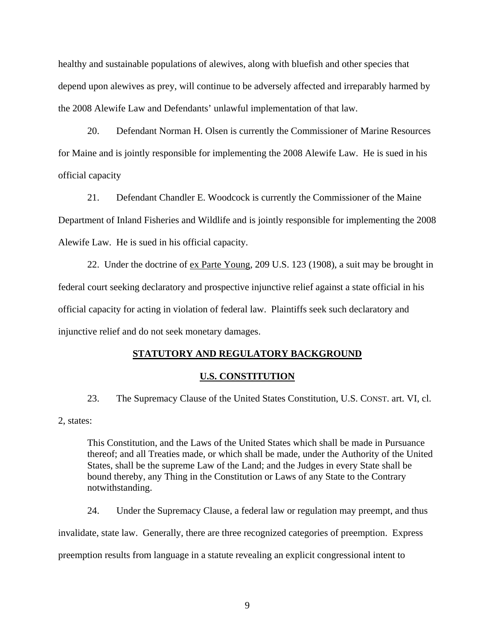healthy and sustainable populations of alewives, along with bluefish and other species that depend upon alewives as prey, will continue to be adversely affected and irreparably harmed by the 2008 Alewife Law and Defendants' unlawful implementation of that law.

 20. Defendant Norman H. Olsen is currently the Commissioner of Marine Resources for Maine and is jointly responsible for implementing the 2008 Alewife Law. He is sued in his official capacity

 21. Defendant Chandler E. Woodcock is currently the Commissioner of the Maine Department of Inland Fisheries and Wildlife and is jointly responsible for implementing the 2008 Alewife Law. He is sued in his official capacity.

 22. Under the doctrine of ex Parte Young, 209 U.S. 123 (1908), a suit may be brought in federal court seeking declaratory and prospective injunctive relief against a state official in his official capacity for acting in violation of federal law. Plaintiffs seek such declaratory and injunctive relief and do not seek monetary damages.

## **STATUTORY AND REGULATORY BACKGROUND**

#### **U.S. CONSTITUTION**

 23. The Supremacy Clause of the United States Constitution, U.S. CONST. art. VI, cl. 2, states:

This Constitution, and the Laws of the United States which shall be made in Pursuance thereof; and all Treaties made, or which shall be made, under the Authority of the United States, shall be the supreme Law of the Land; and the Judges in every State shall be bound thereby, any Thing in the Constitution or Laws of any State to the Contrary notwithstanding.

24. Under the Supremacy Clause, a federal law or regulation may preempt, and thus invalidate, state law. Generally, there are three recognized categories of preemption. Express preemption results from language in a statute revealing an explicit congressional intent to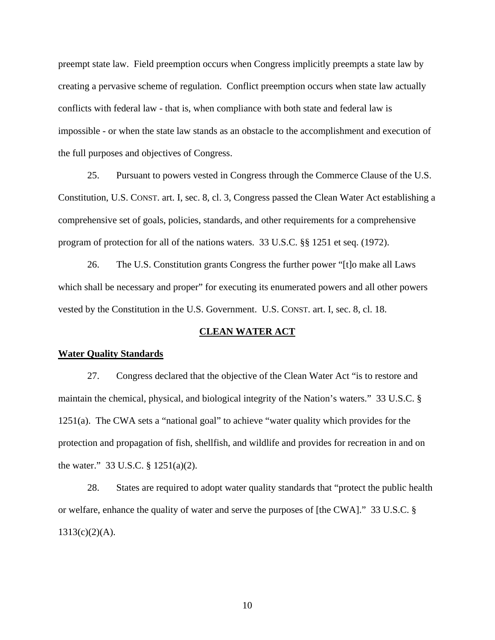preempt state law. Field preemption occurs when Congress implicitly preempts a state law by creating a pervasive scheme of regulation. Conflict preemption occurs when state law actually conflicts with federal law - that is, when compliance with both state and federal law is impossible - or when the state law stands as an obstacle to the accomplishment and execution of the full purposes and objectives of Congress.

25. Pursuant to powers vested in Congress through the Commerce Clause of the U.S. Constitution, U.S. CONST. art. I, sec. 8, cl. 3, Congress passed the Clean Water Act establishing a comprehensive set of goals, policies, standards, and other requirements for a comprehensive program of protection for all of the nations waters. 33 U.S.C. §§ 1251 et seq. (1972).

 26. The U.S. Constitution grants Congress the further power "[t]o make all Laws which shall be necessary and proper" for executing its enumerated powers and all other powers vested by the Constitution in the U.S. Government. U.S. CONST. art. I, sec. 8, cl. 18.

## **CLEAN WATER ACT**

#### **Water Quality Standards**

 27. Congress declared that the objective of the Clean Water Act "is to restore and maintain the chemical, physical, and biological integrity of the Nation's waters." 33 U.S.C. § 1251(a). The CWA sets a "national goal" to achieve "water quality which provides for the protection and propagation of fish, shellfish, and wildlife and provides for recreation in and on the water." 33 U.S.C. § 1251(a)(2).

28. States are required to adopt water quality standards that "protect the public health or welfare, enhance the quality of water and serve the purposes of [the CWA]." 33 U.S.C. §  $1313(c)(2)(A)$ .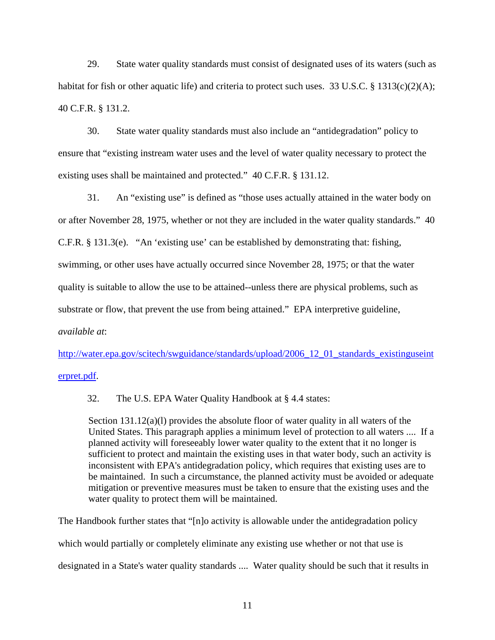29. State water quality standards must consist of designated uses of its waters (such as habitat for fish or other aquatic life) and criteria to protect such uses. 33 U.S.C. § 1313(c)(2)(A); 40 C.F.R. § 131.2.

30. State water quality standards must also include an "antidegradation" policy to ensure that "existing instream water uses and the level of water quality necessary to protect the existing uses shall be maintained and protected." 40 C.F.R. § 131.12.

31. An "existing use" is defined as "those uses actually attained in the water body on or after November 28, 1975, whether or not they are included in the water quality standards." 40 C.F.R. § 131.3(e). "An 'existing use' can be established by demonstrating that: fishing, swimming, or other uses have actually occurred since November 28, 1975; or that the water quality is suitable to allow the use to be attained--unless there are physical problems, such as substrate or flow, that prevent the use from being attained." EPA interpretive guideline, *available at*:

http://water.epa.gov/scitech/swguidance/standards/upload/2006\_12\_01\_standards\_existinguseint

erpret.pdf.

32. The U.S. EPA Water Quality Handbook at § 4.4 states:

Section 131.12(a)(l) provides the absolute floor of water quality in all waters of the United States. This paragraph applies a minimum level of protection to all waters .... If a planned activity will foreseeably lower water quality to the extent that it no longer is sufficient to protect and maintain the existing uses in that water body, such an activity is inconsistent with EPA's antidegradation policy, which requires that existing uses are to be maintained. In such a circumstance, the planned activity must be avoided or adequate mitigation or preventive measures must be taken to ensure that the existing uses and the water quality to protect them will be maintained.

The Handbook further states that "[n]o activity is allowable under the antidegradation policy which would partially or completely eliminate any existing use whether or not that use is designated in a State's water quality standards .... Water quality should be such that it results in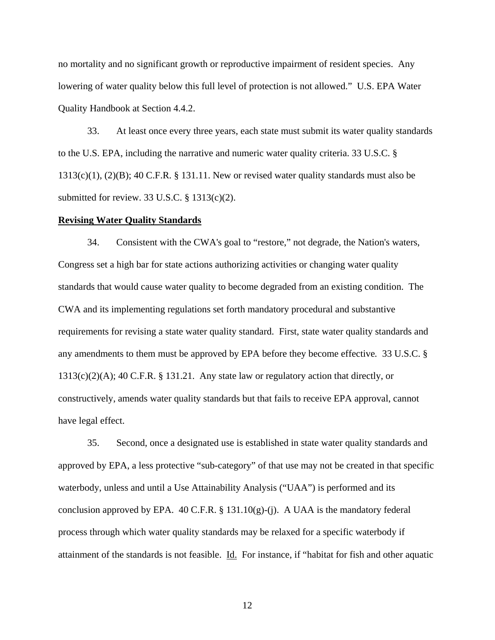no mortality and no significant growth or reproductive impairment of resident species. Any lowering of water quality below this full level of protection is not allowed." U.S. EPA Water Quality Handbook at Section 4.4.2.

33. At least once every three years, each state must submit its water quality standards to the U.S. EPA, including the narrative and numeric water quality criteria. 33 U.S.C. §  $1313(c)(1)$ ,  $(2)(B)$ ; 40 C.F.R. § 131.11. New or revised water quality standards must also be submitted for review. 33 U.S.C. § 1313(c)(2).

#### **Revising Water Quality Standards**

 34. Consistent with the CWA's goal to "restore," not degrade, the Nation's waters, Congress set a high bar for state actions authorizing activities or changing water quality standards that would cause water quality to become degraded from an existing condition. The CWA and its implementing regulations set forth mandatory procedural and substantive requirements for revising a state water quality standard. First, state water quality standards and any amendments to them must be approved by EPA before they become effective*.* 33 U.S.C. § 1313(c)(2)(A); 40 C.F.R. § 131.21. Any state law or regulatory action that directly, or constructively, amends water quality standards but that fails to receive EPA approval, cannot have legal effect.

 35. Second, once a designated use is established in state water quality standards and approved by EPA, a less protective "sub-category" of that use may not be created in that specific waterbody, unless and until a Use Attainability Analysis ("UAA") is performed and its conclusion approved by EPA. 40 C.F.R.  $\S$  131.10(g)-(j). A UAA is the mandatory federal process through which water quality standards may be relaxed for a specific waterbody if attainment of the standards is not feasible. Id. For instance, if "habitat for fish and other aquatic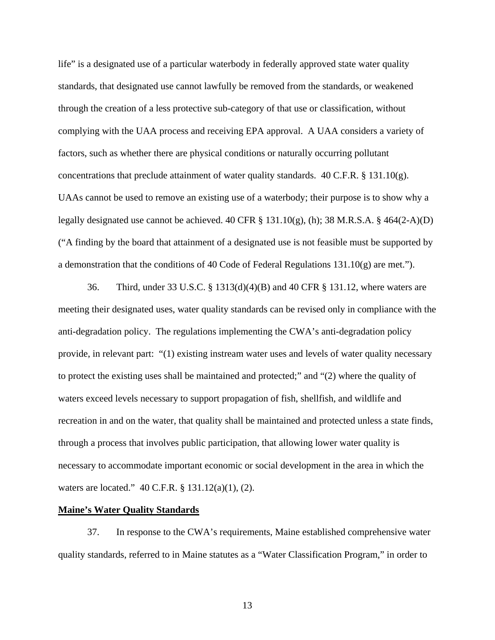life" is a designated use of a particular waterbody in federally approved state water quality standards, that designated use cannot lawfully be removed from the standards, or weakened through the creation of a less protective sub-category of that use or classification, without complying with the UAA process and receiving EPA approval. A UAA considers a variety of factors, such as whether there are physical conditions or naturally occurring pollutant concentrations that preclude attainment of water quality standards.  $40$  C.F.R. § 131.10(g). UAAs cannot be used to remove an existing use of a waterbody; their purpose is to show why a legally designated use cannot be achieved. 40 CFR § 131.10(g), (h); 38 M.R.S.A. § 464(2-A)(D) ("A finding by the board that attainment of a designated use is not feasible must be supported by a demonstration that the conditions of 40 Code of Federal Regulations 131.10(g) are met.").

 36. Third, under 33 U.S.C. § 1313(d)(4)(B) and 40 CFR § 131.12, where waters are meeting their designated uses, water quality standards can be revised only in compliance with the anti-degradation policy. The regulations implementing the CWA's anti-degradation policy provide, in relevant part: "(1) existing instream water uses and levels of water quality necessary to protect the existing uses shall be maintained and protected;" and "(2) where the quality of waters exceed levels necessary to support propagation of fish, shellfish, and wildlife and recreation in and on the water, that quality shall be maintained and protected unless a state finds, through a process that involves public participation, that allowing lower water quality is necessary to accommodate important economic or social development in the area in which the waters are located." 40 C.F.R. § 131.12(a)(1), (2).

## **Maine's Water Quality Standards**

 37. In response to the CWA's requirements, Maine established comprehensive water quality standards, referred to in Maine statutes as a "Water Classification Program," in order to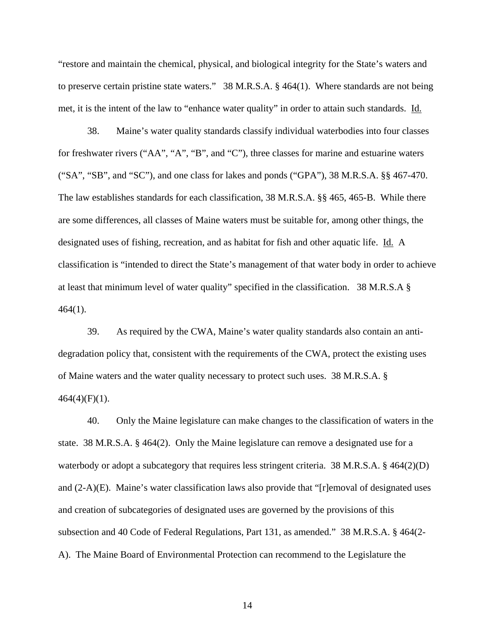"restore and maintain the chemical, physical, and biological integrity for the State's waters and to preserve certain pristine state waters." 38 M.R.S.A. § 464(1). Where standards are not being met, it is the intent of the law to "enhance water quality" in order to attain such standards. Id.

 38. Maine's water quality standards classify individual waterbodies into four classes for freshwater rivers ("AA", "A", "B", and "C"), three classes for marine and estuarine waters ("SA", "SB", and "SC"), and one class for lakes and ponds ("GPA"), 38 M.R.S.A. §§ 467-470. The law establishes standards for each classification, 38 M.R.S.A. §§ 465, 465-B. While there are some differences, all classes of Maine waters must be suitable for, among other things, the designated uses of fishing, recreation, and as habitat for fish and other aquatic life. Id. A classification is "intended to direct the State's management of that water body in order to achieve at least that minimum level of water quality" specified in the classification. 38 M.R.S.A § 464(1).

 39. As required by the CWA, Maine's water quality standards also contain an antidegradation policy that, consistent with the requirements of the CWA, protect the existing uses of Maine waters and the water quality necessary to protect such uses. 38 M.R.S.A. §  $464(4)(F)(1)$ .

 40. Only the Maine legislature can make changes to the classification of waters in the state. 38 M.R.S.A. § 464(2). Only the Maine legislature can remove a designated use for a waterbody or adopt a subcategory that requires less stringent criteria. 38 M.R.S.A. § 464(2)(D) and (2-A)(E). Maine's water classification laws also provide that "[r]emoval of designated uses and creation of subcategories of designated uses are governed by the provisions of this subsection and 40 Code of Federal Regulations, Part 131, as amended." 38 M.R.S.A. § 464(2- A). The Maine Board of Environmental Protection can recommend to the Legislature the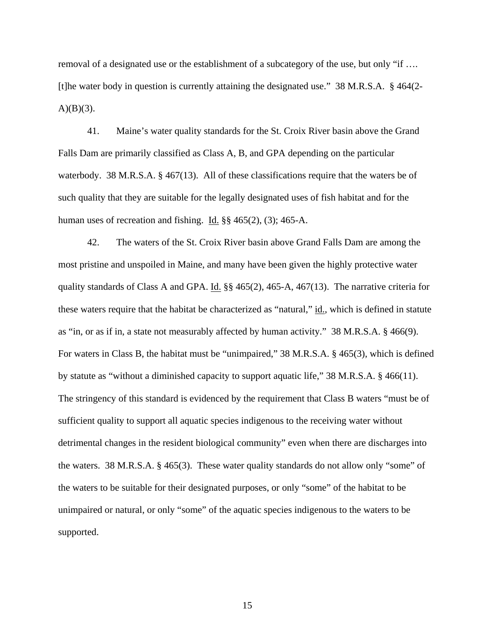removal of a designated use or the establishment of a subcategory of the use, but only "if …. [t]he water body in question is currently attaining the designated use." 38 M.R.S.A. § 464(2-  $A)(B)(3)$ .

 41. Maine's water quality standards for the St. Croix River basin above the Grand Falls Dam are primarily classified as Class A, B, and GPA depending on the particular waterbody. 38 M.R.S.A. § 467(13). All of these classifications require that the waters be of such quality that they are suitable for the legally designated uses of fish habitat and for the human uses of recreation and fishing. Id. §§ 465(2), (3); 465-A.

 42. The waters of the St. Croix River basin above Grand Falls Dam are among the most pristine and unspoiled in Maine, and many have been given the highly protective water quality standards of Class A and GPA. Id. §§ 465(2), 465-A, 467(13). The narrative criteria for these waters require that the habitat be characterized as "natural," id., which is defined in statute as "in, or as if in, a state not measurably affected by human activity." 38 M.R.S.A. § 466(9). For waters in Class B, the habitat must be "unimpaired," 38 M.R.S.A. § 465(3), which is defined by statute as "without a diminished capacity to support aquatic life," 38 M.R.S.A. § 466(11). The stringency of this standard is evidenced by the requirement that Class B waters "must be of sufficient quality to support all aquatic species indigenous to the receiving water without detrimental changes in the resident biological community" even when there are discharges into the waters. 38 M.R.S.A. § 465(3). These water quality standards do not allow only "some" of the waters to be suitable for their designated purposes, or only "some" of the habitat to be unimpaired or natural, or only "some" of the aquatic species indigenous to the waters to be supported.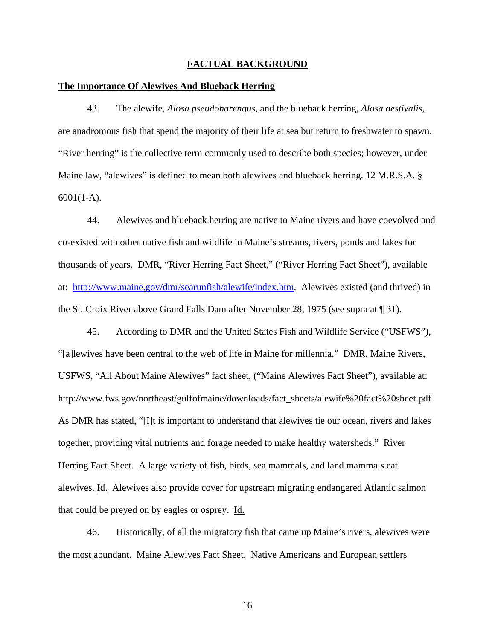#### **FACTUAL BACKGROUND**

#### **The Importance Of Alewives And Blueback Herring**

43. The alewife, *Alosa pseudoharengus*, and the blueback herring, *Alosa aestivalis*, are anadromous fish that spend the majority of their life at sea but return to freshwater to spawn. "River herring" is the collective term commonly used to describe both species; however, under Maine law, "alewives" is defined to mean both alewives and blueback herring. 12 M.R.S.A. § 6001(1-A).

44. Alewives and blueback herring are native to Maine rivers and have coevolved and co-existed with other native fish and wildlife in Maine's streams, rivers, ponds and lakes for thousands of years. DMR, "River Herring Fact Sheet," ("River Herring Fact Sheet"), available at: http://www.maine.gov/dmr/searunfish/alewife/index.htm. Alewives existed (and thrived) in the St. Croix River above Grand Falls Dam after November 28, 1975 (see supra at ¶ 31).

45. According to DMR and the United States Fish and Wildlife Service ("USFWS"), "[a]lewives have been central to the web of life in Maine for millennia." DMR, Maine Rivers, USFWS, "All About Maine Alewives" fact sheet, ("Maine Alewives Fact Sheet"), available at: http://www.fws.gov/northeast/gulfofmaine/downloads/fact\_sheets/alewife%20fact%20sheet.pdf As DMR has stated, "[I]t is important to understand that alewives tie our ocean, rivers and lakes together, providing vital nutrients and forage needed to make healthy watersheds." River Herring Fact Sheet. A large variety of fish, birds, sea mammals, and land mammals eat alewives. Id. Alewives also provide cover for upstream migrating endangered Atlantic salmon that could be preyed on by eagles or osprey. Id.

 46. Historically, of all the migratory fish that came up Maine's rivers, alewives were the most abundant. Maine Alewives Fact Sheet. Native Americans and European settlers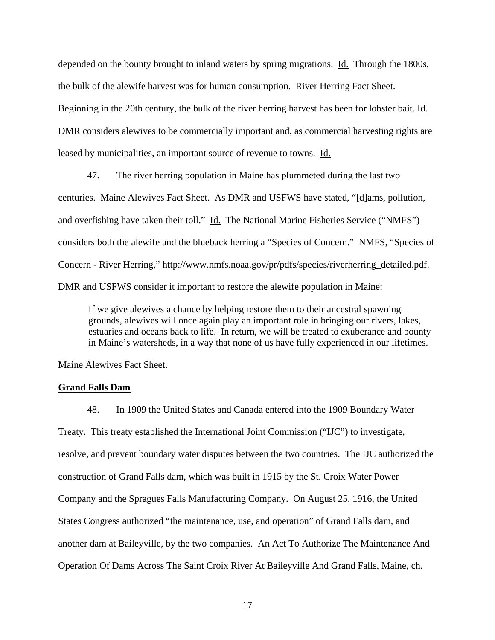depended on the bounty brought to inland waters by spring migrations. Id. Through the 1800s, the bulk of the alewife harvest was for human consumption. River Herring Fact Sheet. Beginning in the 20th century, the bulk of the river herring harvest has been for lobster bait. Id. DMR considers alewives to be commercially important and, as commercial harvesting rights are leased by municipalities, an important source of revenue to towns. Id.

 47. The river herring population in Maine has plummeted during the last two centuries. Maine Alewives Fact Sheet. As DMR and USFWS have stated, "[d]ams, pollution, and overfishing have taken their toll." Id. The National Marine Fisheries Service ("NMFS") considers both the alewife and the blueback herring a "Species of Concern." NMFS, "Species of Concern - River Herring," http://www.nmfs.noaa.gov/pr/pdfs/species/riverherring\_detailed.pdf. DMR and USFWS consider it important to restore the alewife population in Maine:

If we give alewives a chance by helping restore them to their ancestral spawning grounds, alewives will once again play an important role in bringing our rivers, lakes, estuaries and oceans back to life. In return, we will be treated to exuberance and bounty in Maine's watersheds, in a way that none of us have fully experienced in our lifetimes.

Maine Alewives Fact Sheet.

## **Grand Falls Dam**

 48. In 1909 the United States and Canada entered into the 1909 Boundary Water Treaty. This treaty established the International Joint Commission ("IJC") to investigate, resolve, and prevent boundary water disputes between the two countries. The IJC authorized the construction of Grand Falls dam, which was built in 1915 by the St. Croix Water Power Company and the Spragues Falls Manufacturing Company. On August 25, 1916, the United States Congress authorized "the maintenance, use, and operation" of Grand Falls dam, and another dam at Baileyville, by the two companies. An Act To Authorize The Maintenance And Operation Of Dams Across The Saint Croix River At Baileyville And Grand Falls, Maine, ch.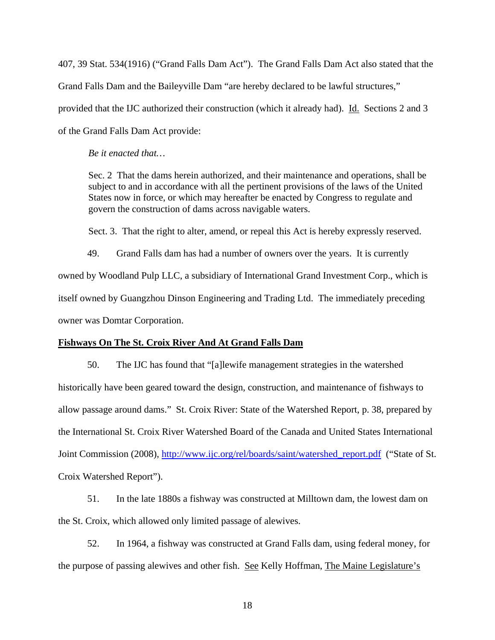407, 39 Stat. 534(1916) ("Grand Falls Dam Act"). The Grand Falls Dam Act also stated that the Grand Falls Dam and the Baileyville Dam "are hereby declared to be lawful structures," provided that the IJC authorized their construction (which it already had). Id. Sections 2 and 3 of the Grand Falls Dam Act provide:

*Be it enacted that…* 

Sec. 2 That the dams herein authorized, and their maintenance and operations, shall be subject to and in accordance with all the pertinent provisions of the laws of the United States now in force, or which may hereafter be enacted by Congress to regulate and govern the construction of dams across navigable waters.

Sect. 3. That the right to alter, amend, or repeal this Act is hereby expressly reserved.

 49. Grand Falls dam has had a number of owners over the years. It is currently owned by Woodland Pulp LLC, a subsidiary of International Grand Investment Corp., which is itself owned by Guangzhou Dinson Engineering and Trading Ltd. The immediately preceding owner was Domtar Corporation.

## **Fishways On The St. Croix River And At Grand Falls Dam**

 50. The IJC has found that "[a]lewife management strategies in the watershed historically have been geared toward the design, construction, and maintenance of fishways to allow passage around dams." St. Croix River: State of the Watershed Report, p. 38, prepared by the International St. Croix River Watershed Board of the Canada and United States International Joint Commission (2008), http://www.ijc.org/rel/boards/saint/watershed\_report.pdf ("State of St. Croix Watershed Report").

 51. In the late 1880s a fishway was constructed at Milltown dam, the lowest dam on the St. Croix, which allowed only limited passage of alewives.

 52. In 1964, a fishway was constructed at Grand Falls dam, using federal money, for the purpose of passing alewives and other fish. See Kelly Hoffman, The Maine Legislature's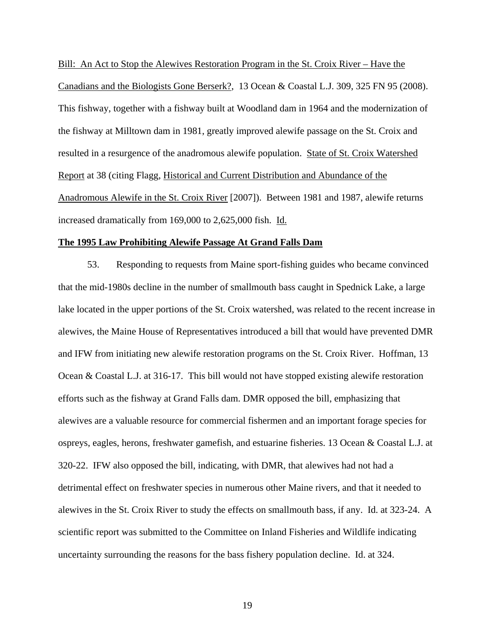Bill: An Act to Stop the Alewives Restoration Program in the St. Croix River – Have the Canadians and the Biologists Gone Berserk?, 13 Ocean & Coastal L.J. 309, 325 FN 95 (2008). This fishway, together with a fishway built at Woodland dam in 1964 and the modernization of the fishway at Milltown dam in 1981, greatly improved alewife passage on the St. Croix and resulted in a resurgence of the anadromous alewife population. State of St. Croix Watershed Report at 38 (citing Flagg, Historical and Current Distribution and Abundance of the Anadromous Alewife in the St. Croix River [2007]). Between 1981 and 1987, alewife returns increased dramatically from 169,000 to 2,625,000 fish. Id.

## **The 1995 Law Prohibiting Alewife Passage At Grand Falls Dam**

 53. Responding to requests from Maine sport-fishing guides who became convinced that the mid-1980s decline in the number of smallmouth bass caught in Spednick Lake, a large lake located in the upper portions of the St. Croix watershed, was related to the recent increase in alewives, the Maine House of Representatives introduced a bill that would have prevented DMR and IFW from initiating new alewife restoration programs on the St. Croix River. Hoffman, 13 Ocean & Coastal L.J. at 316-17. This bill would not have stopped existing alewife restoration efforts such as the fishway at Grand Falls dam. DMR opposed the bill, emphasizing that alewives are a valuable resource for commercial fishermen and an important forage species for ospreys, eagles, herons, freshwater gamefish, and estuarine fisheries. 13 Ocean & Coastal L.J. at 320-22. IFW also opposed the bill, indicating, with DMR, that alewives had not had a detrimental effect on freshwater species in numerous other Maine rivers, and that it needed to alewives in the St. Croix River to study the effects on smallmouth bass, if any. Id. at 323-24. A scientific report was submitted to the Committee on Inland Fisheries and Wildlife indicating uncertainty surrounding the reasons for the bass fishery population decline. Id. at 324.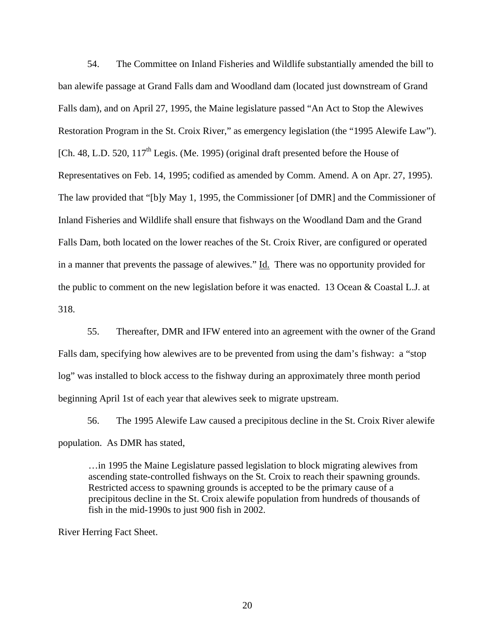54. The Committee on Inland Fisheries and Wildlife substantially amended the bill to ban alewife passage at Grand Falls dam and Woodland dam (located just downstream of Grand Falls dam), and on April 27, 1995, the Maine legislature passed "An Act to Stop the Alewives Restoration Program in the St. Croix River," as emergency legislation (the "1995 Alewife Law"). [Ch. 48, L.D. 520,  $117<sup>th</sup>$  Legis. (Me. 1995) (original draft presented before the House of Representatives on Feb. 14, 1995; codified as amended by Comm. Amend. A on Apr. 27, 1995). The law provided that "[b]y May 1, 1995, the Commissioner [of DMR] and the Commissioner of Inland Fisheries and Wildlife shall ensure that fishways on the Woodland Dam and the Grand Falls Dam, both located on the lower reaches of the St. Croix River, are configured or operated in a manner that prevents the passage of alewives." Id. There was no opportunity provided for the public to comment on the new legislation before it was enacted. 13 Ocean & Coastal L.J. at 318.

 55. Thereafter, DMR and IFW entered into an agreement with the owner of the Grand Falls dam, specifying how alewives are to be prevented from using the dam's fishway: a "stop log" was installed to block access to the fishway during an approximately three month period beginning April 1st of each year that alewives seek to migrate upstream.

 56. The 1995 Alewife Law caused a precipitous decline in the St. Croix River alewife population. As DMR has stated,

…in 1995 the Maine Legislature passed legislation to block migrating alewives from ascending state-controlled fishways on the St. Croix to reach their spawning grounds. Restricted access to spawning grounds is accepted to be the primary cause of a precipitous decline in the St. Croix alewife population from hundreds of thousands of fish in the mid-1990s to just 900 fish in 2002.

River Herring Fact Sheet.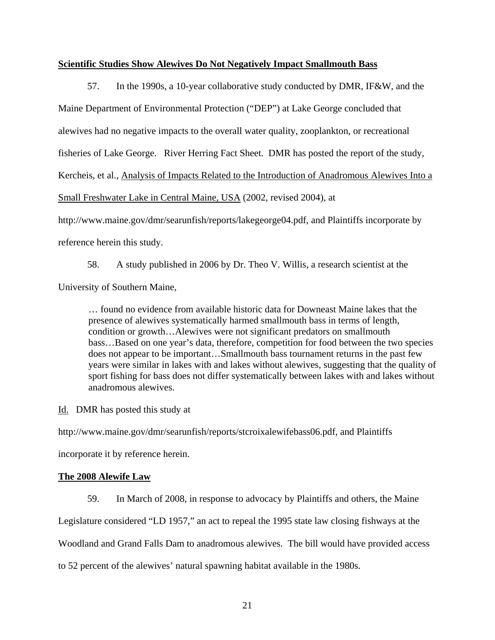## **Scientific Studies Show Alewives Do Not Negatively Impact Smallmouth Bass**

 57. In the 1990s, a 10-year collaborative study conducted by DMR, IF&W, and the Maine Department of Environmental Protection ("DEP") at Lake George concluded that alewives had no negative impacts to the overall water quality, zooplankton, or recreational fisheries of Lake George. River Herring Fact Sheet. DMR has posted the report of the study, Kercheis, et al., Analysis of Impacts Related to the Introduction of Anadromous Alewives Into a Small Freshwater Lake in Central Maine, USA (2002, revised 2004), at http://www.maine.gov/dmr/searunfish/reports/lakegeorge04.pdf, and Plaintiffs incorporate by reference herein this study.

58. A study published in 2006 by Dr. Theo V. Willis, a research scientist at the University of Southern Maine,

… found no evidence from available historic data for Downeast Maine lakes that the presence of alewives systematically harmed smallmouth bass in terms of length, condition or growth…Alewives were not significant predators on smallmouth bass…Based on one year's data, therefore, competition for food between the two species does not appear to be important…Smallmouth bass tournament returns in the past few years were similar in lakes with and lakes without alewives, suggesting that the quality of sport fishing for bass does not differ systematically between lakes with and lakes without anadromous alewives.

Id. DMR has posted this study at

http://www.maine.gov/dmr/searunfish/reports/stcroixalewifebass06.pdf, and Plaintiffs

incorporate it by reference herein.

## **The 2008 Alewife Law**

59. In March of 2008, in response to advocacy by Plaintiffs and others, the Maine

Legislature considered "LD 1957," an act to repeal the 1995 state law closing fishways at the

Woodland and Grand Falls Dam to anadromous alewives. The bill would have provided access

to 52 percent of the alewives' natural spawning habitat available in the 1980s.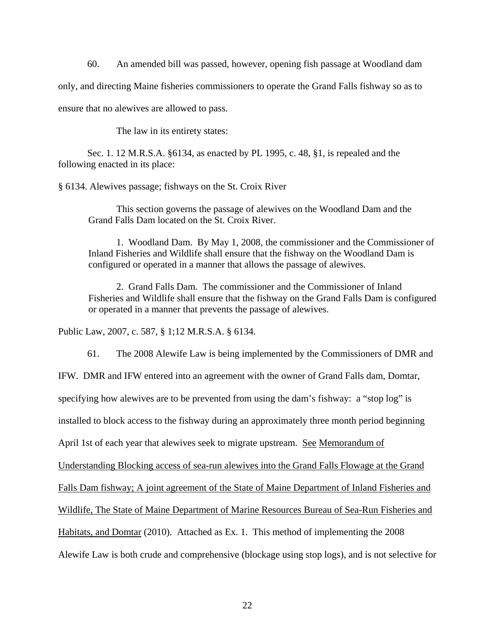60. An amended bill was passed, however, opening fish passage at Woodland dam

only, and directing Maine fisheries commissioners to operate the Grand Falls fishway so as to

ensure that no alewives are allowed to pass.

The law in its entirety states:

 Sec. 1. 12 M.R.S.A. §6134, as enacted by PL 1995, c. 48, §1, is repealed and the following enacted in its place:

§ 6134. Alewives passage; fishways on the St. Croix River

This section governs the passage of alewives on the Woodland Dam and the Grand Falls Dam located on the St. Croix River.

 1. Woodland Dam. By May 1, 2008, the commissioner and the Commissioner of Inland Fisheries and Wildlife shall ensure that the fishway on the Woodland Dam is configured or operated in a manner that allows the passage of alewives.

 2. Grand Falls Dam. The commissioner and the Commissioner of Inland Fisheries and Wildlife shall ensure that the fishway on the Grand Falls Dam is configured or operated in a manner that prevents the passage of alewives.

Public Law, 2007, c. 587, § 1;12 M.R.S.A. § 6134.

 61. The 2008 Alewife Law is being implemented by the Commissioners of DMR and IFW. DMR and IFW entered into an agreement with the owner of Grand Falls dam, Domtar, specifying how alewives are to be prevented from using the dam's fishway: a "stop log" is installed to block access to the fishway during an approximately three month period beginning April 1st of each year that alewives seek to migrate upstream. See Memorandum of Understanding Blocking access of sea-run alewives into the Grand Falls Flowage at the Grand

Falls Dam fishway; A joint agreement of the State of Maine Department of Inland Fisheries and

Wildlife, The State of Maine Department of Marine Resources Bureau of Sea-Run Fisheries and

Habitats, and Domtar (2010). Attached as Ex. 1. This method of implementing the 2008

Alewife Law is both crude and comprehensive (blockage using stop logs), and is not selective for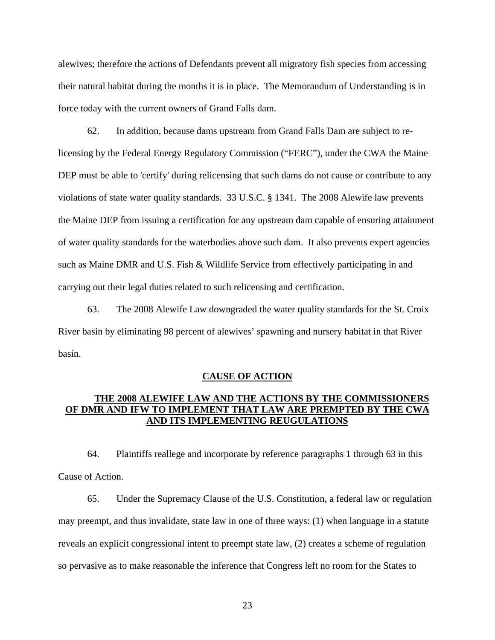alewives; therefore the actions of Defendants prevent all migratory fish species from accessing their natural habitat during the months it is in place. The Memorandum of Understanding is in force today with the current owners of Grand Falls dam.

 62. In addition, because dams upstream from Grand Falls Dam are subject to relicensing by the Federal Energy Regulatory Commission ("FERC"), under the CWA the Maine DEP must be able to 'certify' during relicensing that such dams do not cause or contribute to any violations of state water quality standards. 33 U.S.C. § 1341. The 2008 Alewife law prevents the Maine DEP from issuing a certification for any upstream dam capable of ensuring attainment of water quality standards for the waterbodies above such dam. It also prevents expert agencies such as Maine DMR and U.S. Fish & Wildlife Service from effectively participating in and carrying out their legal duties related to such relicensing and certification.

63. The 2008 Alewife Law downgraded the water quality standards for the St. Croix River basin by eliminating 98 percent of alewives' spawning and nursery habitat in that River basin.

## **CAUSE OF ACTION**

# **THE 2008 ALEWIFE LAW AND THE ACTIONS BY THE COMMISSIONERS OF DMR AND IFW TO IMPLEMENT THAT LAW ARE PREMPTED BY THE CWA AND ITS IMPLEMENTING REUGULATIONS**

 64. Plaintiffs reallege and incorporate by reference paragraphs 1 through 63 in this Cause of Action.

 65. Under the Supremacy Clause of the U.S. Constitution, a federal law or regulation may preempt, and thus invalidate, state law in one of three ways: (1) when language in a statute reveals an explicit congressional intent to preempt state law, (2) creates a scheme of regulation so pervasive as to make reasonable the inference that Congress left no room for the States to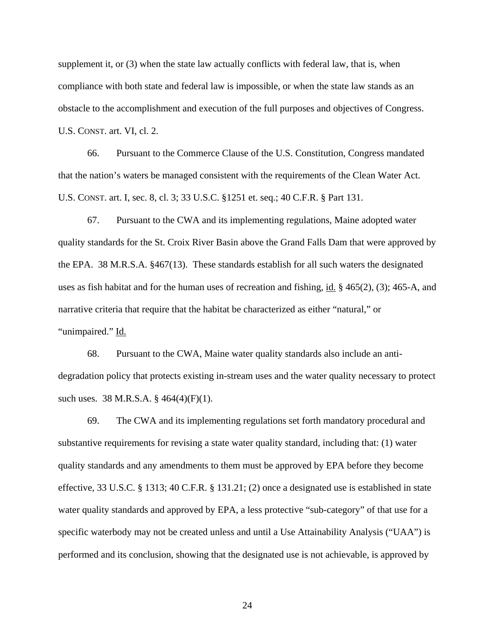supplement it, or (3) when the state law actually conflicts with federal law, that is, when compliance with both state and federal law is impossible, or when the state law stands as an obstacle to the accomplishment and execution of the full purposes and objectives of Congress. U.S. CONST. art. VI, cl. 2.

 66. Pursuant to the Commerce Clause of the U.S. Constitution, Congress mandated that the nation's waters be managed consistent with the requirements of the Clean Water Act. U.S. CONST. art. I, sec. 8, cl. 3; 33 U.S.C. §1251 et. seq.; 40 C.F.R. § Part 131.

67. Pursuant to the CWA and its implementing regulations, Maine adopted water quality standards for the St. Croix River Basin above the Grand Falls Dam that were approved by the EPA. 38 M.R.S.A. §467(13). These standards establish for all such waters the designated uses as fish habitat and for the human uses of recreation and fishing, id. § 465(2), (3); 465-A, and narrative criteria that require that the habitat be characterized as either "natural," or "unimpaired." Id.

68. Pursuant to the CWA, Maine water quality standards also include an antidegradation policy that protects existing in-stream uses and the water quality necessary to protect such uses. 38 M.R.S.A. § 464(4)(F)(1).

69. The CWA and its implementing regulations set forth mandatory procedural and substantive requirements for revising a state water quality standard, including that: (1) water quality standards and any amendments to them must be approved by EPA before they become effective*,* 33 U.S.C. § 1313; 40 C.F.R. § 131.21; (2) once a designated use is established in state water quality standards and approved by EPA, a less protective "sub-category" of that use for a specific waterbody may not be created unless and until a Use Attainability Analysis ("UAA") is performed and its conclusion, showing that the designated use is not achievable, is approved by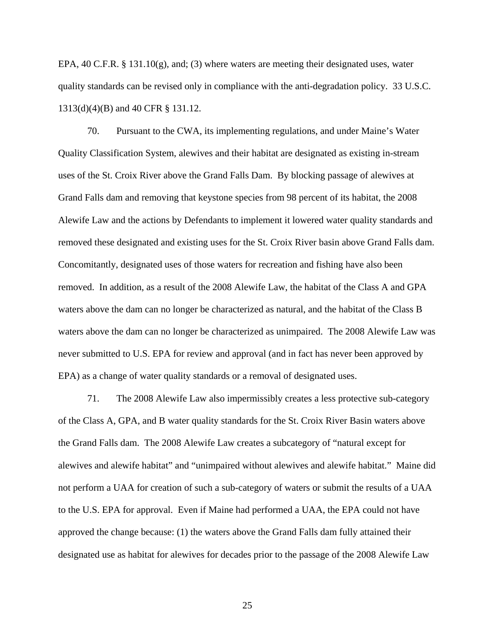EPA, 40 C.F.R. § 131.10(g), and; (3) where waters are meeting their designated uses, water quality standards can be revised only in compliance with the anti-degradation policy. 33 U.S.C. 1313(d)(4)(B) and 40 CFR § 131.12.

70. Pursuant to the CWA, its implementing regulations, and under Maine's Water Quality Classification System, alewives and their habitat are designated as existing in-stream uses of the St. Croix River above the Grand Falls Dam. By blocking passage of alewives at Grand Falls dam and removing that keystone species from 98 percent of its habitat, the 2008 Alewife Law and the actions by Defendants to implement it lowered water quality standards and removed these designated and existing uses for the St. Croix River basin above Grand Falls dam. Concomitantly, designated uses of those waters for recreation and fishing have also been removed. In addition, as a result of the 2008 Alewife Law, the habitat of the Class A and GPA waters above the dam can no longer be characterized as natural, and the habitat of the Class B waters above the dam can no longer be characterized as unimpaired. The 2008 Alewife Law was never submitted to U.S. EPA for review and approval (and in fact has never been approved by EPA) as a change of water quality standards or a removal of designated uses.

71. The 2008 Alewife Law also impermissibly creates a less protective sub-category of the Class A, GPA, and B water quality standards for the St. Croix River Basin waters above the Grand Falls dam. The 2008 Alewife Law creates a subcategory of "natural except for alewives and alewife habitat" and "unimpaired without alewives and alewife habitat." Maine did not perform a UAA for creation of such a sub-category of waters or submit the results of a UAA to the U.S. EPA for approval. Even if Maine had performed a UAA, the EPA could not have approved the change because: (1) the waters above the Grand Falls dam fully attained their designated use as habitat for alewives for decades prior to the passage of the 2008 Alewife Law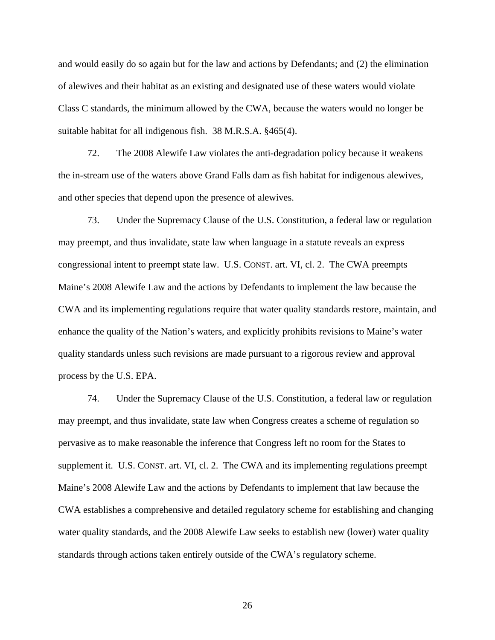and would easily do so again but for the law and actions by Defendants; and (2) the elimination of alewives and their habitat as an existing and designated use of these waters would violate Class C standards, the minimum allowed by the CWA, because the waters would no longer be suitable habitat for all indigenous fish. 38 M.R.S.A. §465(4).

72. The 2008 Alewife Law violates the anti-degradation policy because it weakens the in-stream use of the waters above Grand Falls dam as fish habitat for indigenous alewives, and other species that depend upon the presence of alewives.

73. Under the Supremacy Clause of the U.S. Constitution, a federal law or regulation may preempt, and thus invalidate, state law when language in a statute reveals an express congressional intent to preempt state law. U.S. CONST. art. VI, cl. 2. The CWA preempts Maine's 2008 Alewife Law and the actions by Defendants to implement the law because the CWA and its implementing regulations require that water quality standards restore, maintain, and enhance the quality of the Nation's waters, and explicitly prohibits revisions to Maine's water quality standards unless such revisions are made pursuant to a rigorous review and approval process by the U.S. EPA.

74. Under the Supremacy Clause of the U.S. Constitution, a federal law or regulation may preempt, and thus invalidate, state law when Congress creates a scheme of regulation so pervasive as to make reasonable the inference that Congress left no room for the States to supplement it. U.S. CONST. art. VI, cl. 2. The CWA and its implementing regulations preempt Maine's 2008 Alewife Law and the actions by Defendants to implement that law because the CWA establishes a comprehensive and detailed regulatory scheme for establishing and changing water quality standards, and the 2008 Alewife Law seeks to establish new (lower) water quality standards through actions taken entirely outside of the CWA's regulatory scheme.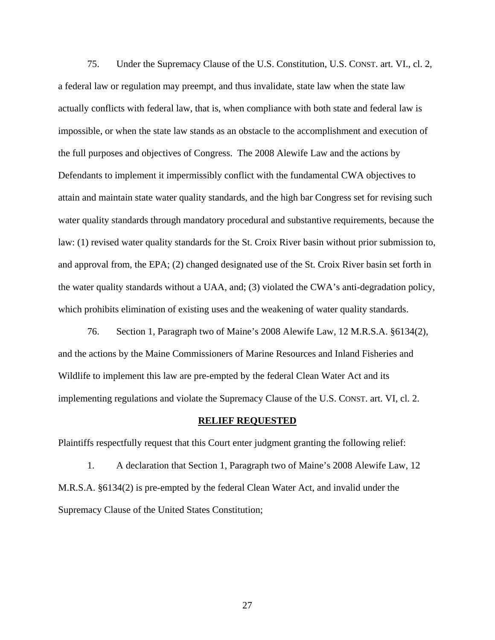75. Under the Supremacy Clause of the U.S. Constitution, U.S. CONST. art. VI., cl. 2, a federal law or regulation may preempt, and thus invalidate, state law when the state law actually conflicts with federal law, that is, when compliance with both state and federal law is impossible, or when the state law stands as an obstacle to the accomplishment and execution of the full purposes and objectives of Congress. The 2008 Alewife Law and the actions by Defendants to implement it impermissibly conflict with the fundamental CWA objectives to attain and maintain state water quality standards, and the high bar Congress set for revising such water quality standards through mandatory procedural and substantive requirements, because the law: (1) revised water quality standards for the St. Croix River basin without prior submission to, and approval from, the EPA; (2) changed designated use of the St. Croix River basin set forth in the water quality standards without a UAA, and; (3) violated the CWA's anti-degradation policy, which prohibits elimination of existing uses and the weakening of water quality standards.

 76. Section 1, Paragraph two of Maine's 2008 Alewife Law, 12 M.R.S.A. §6134(2), and the actions by the Maine Commissioners of Marine Resources and Inland Fisheries and Wildlife to implement this law are pre-empted by the federal Clean Water Act and its implementing regulations and violate the Supremacy Clause of the U.S. CONST. art. VI, cl. 2.

#### **RELIEF REQUESTED**

Plaintiffs respectfully request that this Court enter judgment granting the following relief:

 1. A declaration that Section 1, Paragraph two of Maine's 2008 Alewife Law, 12 M.R.S.A. §6134(2) is pre-empted by the federal Clean Water Act, and invalid under the Supremacy Clause of the United States Constitution;